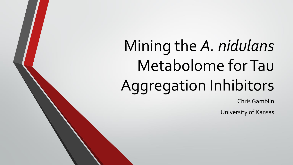# Mining the *A. nidulans*  Metabolome for Tau Aggregation Inhibitors

Chris Gamblin

University of Kansas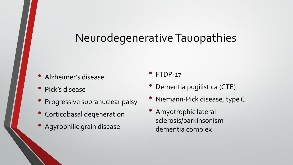### Neurodegenerative Tauopathies

- Alzheimer's disease
- Pick's disease
- Progressive supranuclear palsy
- Corticobasal degeneration
- Agyrophilic grain disease

• FTDP-17

- Dementia pugilistica (CTE)
- Niemann-Pick disease, type C
- Amyotrophic lateral sclerosis/parkinsonismdementia complex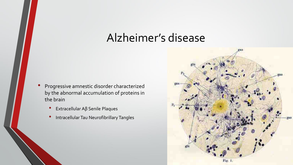#### Alzheimer's disease

- Progressive amnestic disorder characterized by the abnormal accumulation of proteins in the brain
	- Extracellular Aβ Senile Plaques
	- Intracellular Tau Neurofibrillary Tangles

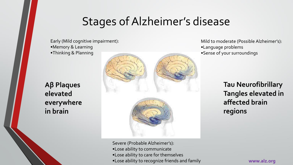# Stages of Alzheimer's disease

Early (Mild cognitive impairment): •Memory & Learning •Thinking & Planning

**Aβ Plaques elevated everywhere in brain** 



Mild to moderate (Possible Alzheimer's): •Language problems •Sense of your surroundings

> **Tau Neurofibrillary Tangles elevated in affected brain regions**

Severe (Probable Alzheimer's): •Lose ability to communicate •Lose ability to care for themselves •Lose ability to recognize friends and family

**www.alz.org**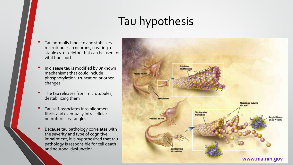# Tau hypothesis

- Tau normally binds to and stabilizes microtubules in neurons, creating a stable cytoskeleton that can be used for vital transport
- In disease tau is modified by unknown mechanisms that could include phosphorylation, truncation or other changes
- The tau releases from microtubules, destabilizing them
- Tau self-associates into oligomers, fibrils and eventually intracellular neurofibrillary tangles
- Because tau pathology correlates with the severity and type of cognitive impairment, it is hypothesized that tau pathology is responsible for cell death and neuronal dysfunction

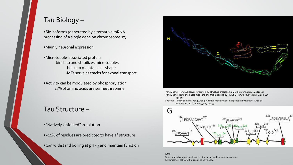#### Tau Biology –

•Six isoforms (generated by alternative mRNA processing of a single gene on chromosome 17)

•Mainly neuronal expression

•Microtubule-associated protein binds to and stabilizes microtubules -helps to maintain cell shape -MTs serve as tracks for axonal transport

•Activity can be modulated by phosphorylation 17% of amino acids are serine/threonine

#### Tau Structure –

- "Natively Unfolded" in solution
- •~12% of residues are predicted to have 2° structure
- •Can withstand boiling at  $pH 3$  and maintain function



Yang Zhang. I-TASSER server for protein 3D structure prediction. BMC Bioinformatics, 9:40 (2008). Yang Zhang. Template-based modeling and free modeling by I-TASSER in CASP7. Proteins, 8: 108-117 (2007).

Sitao Wu, Jeffrey Skolnick, Yang Zhang. Ab initio modeling of small proteins by iterative TASSER simulations. BMC Biology, 5:17 (2007).



NMR Structural polymorphism of 441-residue tau at single residue resolution. Muckrasch, et al PLOS Biol 2009 Feb 17;7(2):e34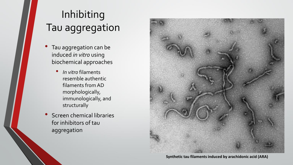# Inhibiting Tau aggregation

- Tau aggregation can be induced *in vitro* using biochemical approaches
	- *In vitro* filaments resemble authentic filaments from AD morphologically, immunologically, and structurally
- Screen chemical libraries for inhibitors of tau aggregation



**Synthetic tau filaments induced by arachidonic acid (ARA)**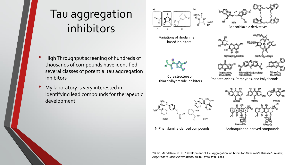# Tau aggregation inhibitors

- High Throughput screening of hundreds of thousands of compounds have identified several classes of potential tau aggregation inhibitors
- My laboratory is very interested in identifying lead compounds for therapeutic development



Core structure of thiazolylhydrazide Inhibitors



N-Phenylamine-derived compounds Anthraquinone-derived compounds



Phenothiazines, Porphyrins, and Polyphenols

\*Bulic, Mandelkow et. al. "Development of Tau Aggregation Inhibitors for Alzheimer's Disease" (Review) *Angewandte Chemie International* 48(10): 1740-1752, 2009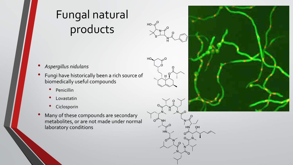# Fungal natural products



H

OH

**HN** 

HО

 $\Omega^2$ 

- *Aspergillus nidulans*
- Fungi have historically been a rich source of biomedically useful compounds
	- Penicillin
	- Lovastatin
	- **Ciclosporin**
- Many of these compounds are secondary metabolites, or are not made under normal laboratory conditions

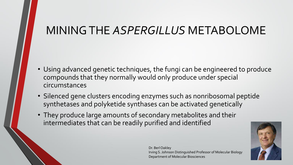### MINING THE *ASPERGILLUS* METABOLOME

- Using advanced genetic techniques, the fungi can be engineered to produce compounds that they normally would only produce under special circumstances
- Silenced gene clusters encoding enzymes such as nonribosomal peptide synthetases and polyketide synthases can be activated genetically
- They produce large amounts of secondary metabolites and their intermediates that can be readily purified and identified



Dr. Berl Oakley Irving S. Johnson Distinguished Professor of Molecular Biology Department of Molecular Biosciences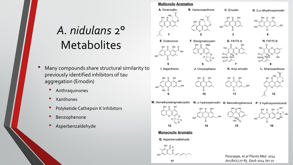# *A. nidulans* 2° **Metabolites**

- Many compounds share structural similarity to previously identified inhibitors of tau aggregation (Emodin)
	- Anthraquinones
	- Xanthones
	- Polyketide Cathepsin K Inhibitors
	- **Benzophenone**
	- Asperbenzaldehyde

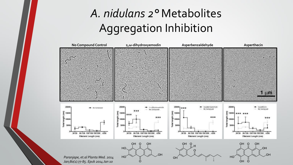# *A. nidulans 2°* Metabolites Aggregation Inhibition

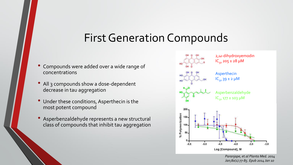### First Generation Compounds

- Compounds were added over a wide range of concentrations
- All 3 compounds show a dose-dependent decrease in tau aggregation
- Under these conditions, Asperthecin is the most potent compound
- Asperbenzaldehyde represents a new structural class of compounds that inhibit tau aggregation



*Paranjape, et.al Planta Med. 2014 Jan;80(1):77-85. Epub 2014 Jan 10*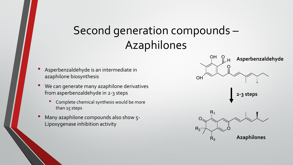### Second generation compounds – Azaphilones

- Asperbenzaldehyde is an intermediate in azaphilone biosynthesis
- We can generate many azaphilone derivatives from asperbenzaldehyde in 2-3 steps
	- Complete chemical synthesis would be more than 15 steps
- Many azaphilone compounds also show 5-Lipoxygenase inhibition activity

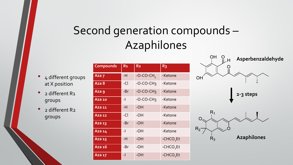# Second generation compounds – Azaphilones

- 4 different groups at X position
- 2 different R1 groups
- 2 different R2 groups

| <b>Compounds</b> | R <sub>1</sub> | R <sub>2</sub>           | R <sub>3</sub>        |
|------------------|----------------|--------------------------|-----------------------|
| Aza 7            | -H             | $-O$ -CO-CH <sub>3</sub> | -Ketone               |
| Aza 8            | $-CI$          | $-O-CO-CH3$              | -Ketone               |
| Aza 9            | -Br            | $-O-CO-CH3$              | -Ketone               |
| Aza 10           | $-1$           | $-O-CO-CH3$              | -Ketone               |
| Aza 11           | $-H$           | $-OH$                    | -Ketone               |
| Aza 12           | $-CI$          | $-OH$                    | -Ketone               |
| Aza $13$         | -Br            | $-OH$                    | -Ketone               |
| Aza 14           | $-1$           | $-OH$                    | -Ketone               |
| Aza 15           | $-H$           | $-OH$                    | -CHCO <sub>2</sub> Et |
| Aza 16           | -Br            | $-OH$                    | -CHCO <sub>2</sub> Et |
| Aza 17           | -1             | -OH                      | -CHCO <sub>2</sub> Et |

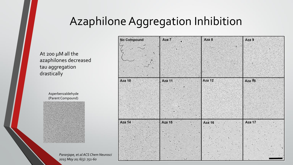### Azaphilone Aggregation Inhibition

At 200 µM all the azaphilones decreased tau aggregation drastically

> Asperbenzaldehyde (Parent Compound)



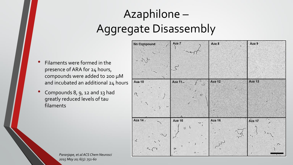# Azaphilone – Aggregate Disassembly

- Filaments were formed in the presence of ARA for 24 hours, compounds were added to 200 μM and incubated an additional 24 hours
- Compounds 8, 9, 12 and 13 had greatly reduced levels of tau filaments

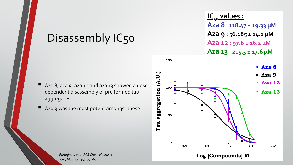#### Disassembly IC50

- Aza 8, aza 9, aza 12 and aza 13 showed a dose dependent disassembly of pre formed tau aggregates
- Aza 9 was the most potent amongst these

**-5.0 -4.5 -4.0 -3.5 -3.0 50 Aza 8 Aza 9 Aza 12 Aza 13 IC**<sub>50</sub> **values : Aza 8** : **118.47 ± 19.33 µM Aza 9** : **56.185 ± 14.1 µM Aza 12** : **97.6 ± 16.2 µM Aza 13** : **215.5 ± 17.6 µM** 

**Log [Compounds] M**

**0**

**100**

**Tau aggregation (A.U.)**

Tau aggregation (A.U.)

**150**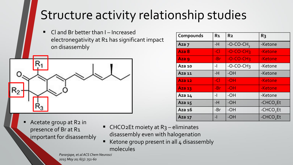# Structure activity relationship studies

■ Cl and Br better than I – Increased electronegativity at R1 has significant impact on disassembly



| Compounds     | R <sub>1</sub> | R <sub>2</sub> | R <sub>3</sub>        |
|---------------|----------------|----------------|-----------------------|
| Aza 7         | -H             | $-O-CO-CH_3$   | -Ketone               |
| Aza 8         | $-CI$          | $-C-CO-CH3$    | -Ketone               |
| Aza 9         | -Br            | $-COCCH3$      | -Ketone               |
| Aza 10        | $-1$           | $-O-CO-CH3$    | -Ketone               |
| Aza $11$      | $-H$           | -OH            | -Ketone               |
| <b>Aza 12</b> | $-CI$          | $-OH$          | -Ketone               |
| Aza 13        | -Br            | $-OH$          | -Ketone               |
| Aza 14        | $-1$           | $-OH$          | -Ketone               |
| Aza 15        | $-H$           | $-OH$          | -CHCO <sub>2</sub> Et |
| Aza 16        | -Br            | $-OH$          | -CHCO <sub>2</sub> Et |
| Aza 17        | -1             | $-OH$          | -CHCO <sub>2</sub> Et |

- Acetate group at R2 in presence of Br at R1 important for disassembly
- $\blacksquare$  CHCO2Et moiety at R<sub>3</sub> eliminates disassembly even with halogenation
- Ketone group present in all 4 disassembly molecules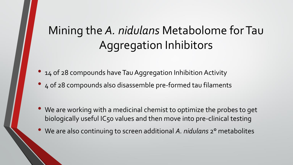# Mining the *A. nidulans* Metabolome for Tau Aggregation Inhibitors

- 14 of 28 compounds have Tau Aggregation Inhibition Activity
- 4 of 28 compounds also disassemble pre-formed tau filaments

- We are working with a medicinal chemist to optimize the probes to get biologically useful IC50 values and then move into pre-clinical testing
- We are also continuing to screen additional *A. nidulans* 2° metabolites